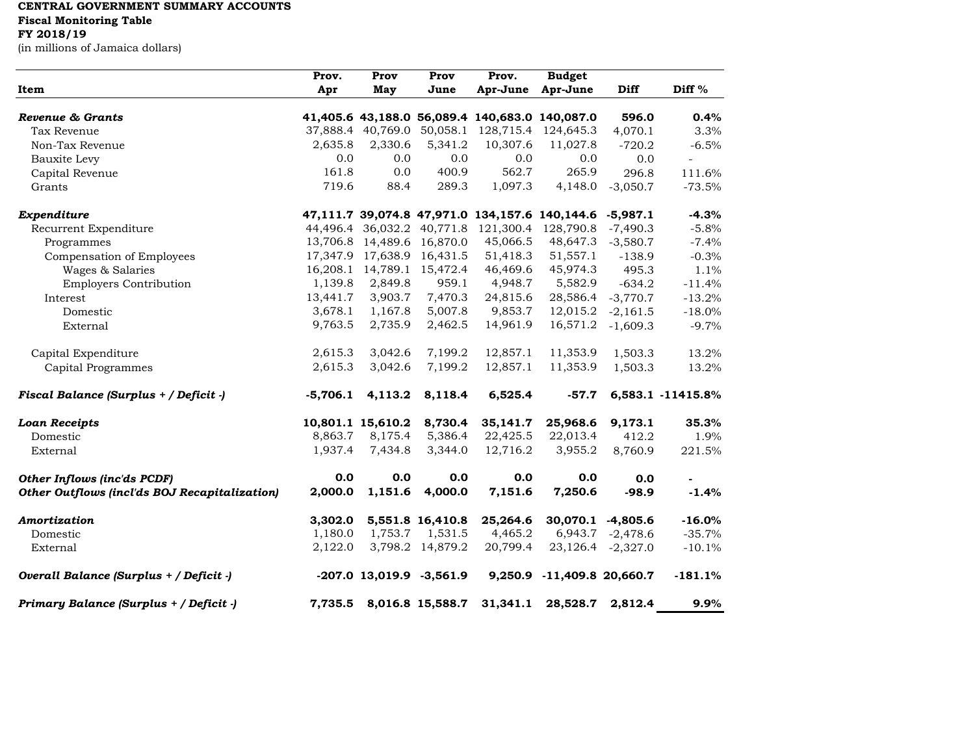## **CENTRAL GOVERNMENT SUMMARY ACCOUNTS**

**Fiscal Monitoring Table**

## **FY 2018/19**

(in millions of Jamaica dollars)

|                                               | Prov.      | Prov              | Prov                          | Prov.                                          | <b>Budget</b>                                  |                   |                   |
|-----------------------------------------------|------------|-------------------|-------------------------------|------------------------------------------------|------------------------------------------------|-------------------|-------------------|
| Item                                          | Apr        | May               | June                          | Apr-June                                       | Apr-June                                       | Diff              | Diff %            |
|                                               |            |                   |                               |                                                |                                                |                   |                   |
| Revenue & Grants                              |            |                   |                               | 41,405.6 43,188.0 56,089.4 140,683.0 140,087.0 |                                                | 596.0             | 0.4%              |
| Tax Revenue                                   |            |                   |                               | 37,888.4 40,769.0 50,058.1 128,715.4 124,645.3 |                                                | 4,070.1           | 3.3%              |
| Non-Tax Revenue                               | 2,635.8    | 2,330.6           | 5,341.2                       | 10,307.6                                       | 11,027.8                                       | $-720.2$          | $-6.5%$           |
| Bauxite Levy                                  | 0.0        | 0.0               | 0.0                           | 0.0                                            | 0.0                                            | 0.0               | $\sim$            |
| Capital Revenue                               | 161.8      | 0.0               | 400.9                         | 562.7                                          | 265.9                                          | 296.8             | 111.6%            |
| Grants                                        | 719.6      | 88.4              | 289.3                         | 1,097.3                                        | 4,148.0                                        | $-3,050.7$        | $-73.5%$          |
| Expenditure                                   |            |                   |                               |                                                | 47,111.7 39,074.8 47,971.0 134,157.6 140,144.6 | $-5,987.1$        | $-4.3%$           |
| Recurrent Expenditure                         |            |                   |                               | 44,496.4 36,032.2 40,771.8 121,300.4           | 128,790.8                                      | $-7,490.3$        | $-5.8%$           |
| Programmes                                    |            |                   | 13,706.8 14,489.6 16,870.0    | 45,066.5                                       | 48,647.3                                       | $-3,580.7$        | $-7.4%$           |
| Compensation of Employees                     |            |                   | 17,347.9 17,638.9 16,431.5    | 51,418.3                                       | 51,557.1                                       | $-138.9$          | $-0.3%$           |
| Wages & Salaries                              |            |                   | 16, 208.1 14, 789.1 15, 472.4 | 46,469.6                                       | 45,974.3                                       | 495.3             | 1.1%              |
| <b>Employers Contribution</b>                 | 1,139.8    | 2,849.8           | 959.1                         | 4,948.7                                        | 5,582.9                                        | $-634.2$          | $-11.4%$          |
| Interest                                      | 13,441.7   | 3,903.7           | 7,470.3                       | 24,815.6                                       | 28,586.4                                       | $-3,770.7$        | $-13.2%$          |
| Domestic                                      | 3,678.1    | 1,167.8           | 5,007.8                       | 9,853.7                                        | 12,015.2                                       | $-2,161.5$        | $-18.0%$          |
| External                                      | 9,763.5    | 2,735.9           | 2,462.5                       | 14,961.9                                       | 16,571.2                                       | $-1,609.3$        | $-9.7%$           |
|                                               |            |                   |                               |                                                |                                                |                   |                   |
| Capital Expenditure                           | 2,615.3    | 3,042.6           | 7,199.2                       | 12,857.1                                       | 11,353.9                                       | 1,503.3           | 13.2%             |
| Capital Programmes                            | 2,615.3    | 3,042.6           | 7,199.2                       | 12,857.1                                       | 11,353.9                                       | 1,503.3           | 13.2%             |
| Fiscal Balance (Surplus + / Deficit -)        | $-5,706.1$ | 4,113.2           | 8,118.4                       | 6,525.4                                        | $-57.7$                                        |                   | 6,583.1 -11415.8% |
| <b>Loan Receipts</b>                          |            | 10,801.1 15,610.2 | 8,730.4                       | 35,141.7                                       | 25,968.6                                       | 9,173.1           | 35.3%             |
| Domestic                                      | 8,863.7    | 8,175.4           | 5,386.4                       | 22,425.5                                       | 22,013.4                                       | 412.2             | 1.9%              |
| External                                      | 1,937.4    | 7,434.8           | 3,344.0                       | 12,716.2                                       | 3,955.2                                        | 8,760.9           | 221.5%            |
|                                               |            |                   |                               |                                                |                                                |                   |                   |
| Other Inflows (inc'ds PCDF)                   | 0.0        | 0.0               | 0.0                           | 0.0                                            | 0.0                                            | 0.0               |                   |
| Other Outflows (incl'ds BOJ Recapitalization) | 2,000.0    | 1,151.6           | 4,000.0                       | 7,151.6                                        | 7,250.6                                        | $-98.9$           | $-1.4%$           |
| Amortization                                  | 3,302.0    |                   | 5,551.8 16,410.8              | 25,264.6                                       |                                                | 30,070.1 -4,805.6 | $-16.0%$          |
| Domestic                                      | 1,180.0    | 1,753.7           | 1,531.5                       | 4,465.2                                        |                                                | 6,943.7 -2,478.6  | $-35.7%$          |
| External                                      | 2,122.0    |                   | 3,798.2 14,879.2              | 20,799.4                                       |                                                | 23,126.4 -2,327.0 | $-10.1%$          |
|                                               |            |                   |                               |                                                |                                                |                   |                   |
| Overall Balance (Surplus + / Deficit -)       |            |                   | $-207.0$ 13,019.9 $-3,561.9$  | 9,250.9                                        | $-11,409.8$ 20,660.7                           |                   | $-181.1%$         |
| Primary Balance (Surplus + / Deficit -)       |            |                   | 7,735.5 8,016.8 15,588.7      | 31,341.1                                       | 28,528.7                                       | 2,812.4           | 9.9%              |